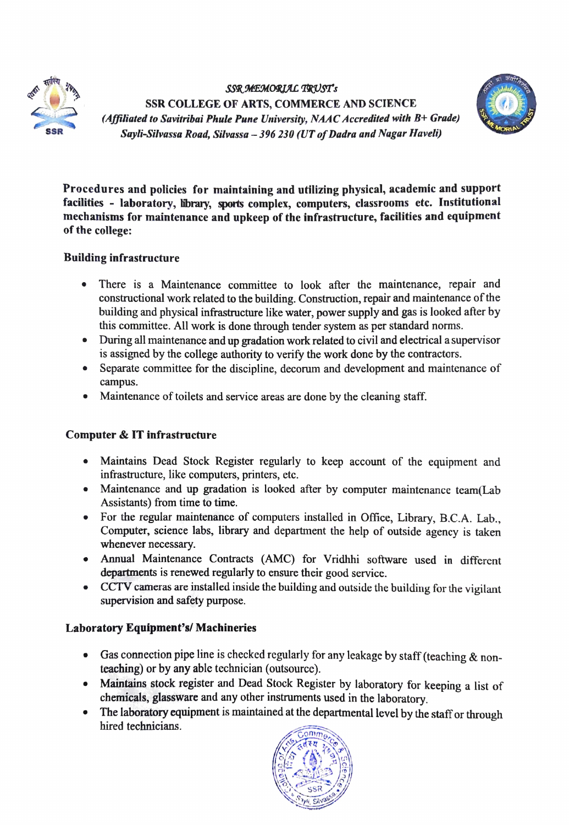

SSR MEMORIAL TRUST's SSR COLLEGE OF ARTS, COMMERCE AND SCIENCE (Affiliated to Savitribai Phule Pune University, NAAC Accredited with B+ Grude) Sayli-Silvassa Road, Silvassa - 396 230 (UT of Dadra and Nagar Haveli)



Procedures and policies for maintaining and utilizing physical, academic and support facilities - laboratory, library, sports complex, computers, classrooms etc. Institutional mechanisms for maintenance and upkeep of the infrastructure, facilities and equipment of the college:

# Building infrastructure

- There is a Maintenance committee to look after the maintenance, repair and constructional work related to the building. Construction, repair and maintenance of the building and physical infrastructure like water, power supply and gas is looked after by this committee. All work is done through tender system as per standard norms.
- During all maintenance and up gradation work related to civil and electrical a supervisor  $\bullet$ is assigned by the college authority to verify the work done by the contractors.
- Separate committee for the discipline, decorum and development and maintenance of campus.
- Maintenance of toilets and service areas are done by the cleaning staff.

## Computer & IT infrastructure

- Maintains Dead Stock Register regularly to keep account of the equipment and  $\bullet$ infrastructure, like computers, printers, etc.
- Maintenance and up gradation is looked after by computer maintenance team(Lab Assistants) from time to time.
- For the regular maintenance of computers installed in Office, Library, B.C.A. Lab., Computer, science labs, library and department the help of outside agency is taken whenever necessary.
- Annual Maintenance Contracts (AMC) for Vridhhi software used in different departments is renewed regularly to ensure their good service.
- CCTV cameras are installed inside the building and outside the building for the vigilant supervision and safety purpose.

## Laboratory Equipment's/ Machineries

- Gas connection pipe line is checked regularly for any leakage by staff (teaching  $\&$  nonteaching) or by any able technician (outsource).
- Maintains stock register and Dead Stock Register by laboratory for keeping a list of chemicals, glassware and any other instrurments used in the laboratory.
- The laboratory equipment is maintained at the departmental level by the staff or through hired technicians.